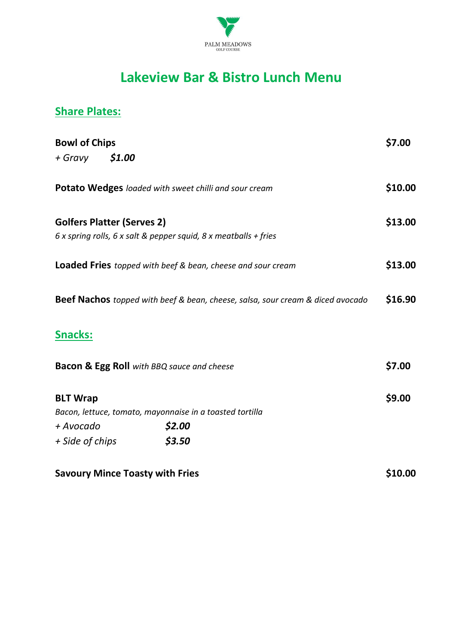

## **Lakeview Bar & Bistro Lunch Menu**

## **Share Plates:**

| <b>Bowl of Chips</b>                                                                  |                                                                  |         |
|---------------------------------------------------------------------------------------|------------------------------------------------------------------|---------|
| + Gravy                                                                               | \$1.00                                                           |         |
|                                                                                       | Potato Wedges loaded with sweet chilli and sour cream            | \$10.00 |
|                                                                                       | <b>Golfers Platter (Serves 2)</b>                                | \$13.00 |
|                                                                                       | 6 x spring rolls, 6 x salt & pepper squid, 8 x meatballs + fries |         |
| <b>Loaded Fries</b> topped with beef & bean, cheese and sour cream                    |                                                                  |         |
| <b>Beef Nachos</b> topped with beef & bean, cheese, salsa, sour cream & diced avocado |                                                                  |         |
| <u>Snacks:</u>                                                                        |                                                                  |         |
| <b>Bacon &amp; Egg Roll</b> with BBQ sauce and cheese                                 |                                                                  |         |
| <b>BLT Wrap</b>                                                                       |                                                                  | \$9.00  |
|                                                                                       | Bacon, lettuce, tomato, mayonnaise in a toasted tortilla         |         |
| + Avocado                                                                             | \$2.00                                                           |         |
| + Side of chips                                                                       | \$3.50                                                           |         |
|                                                                                       | <b>Savoury Mince Toasty with Fries</b>                           | \$10.00 |